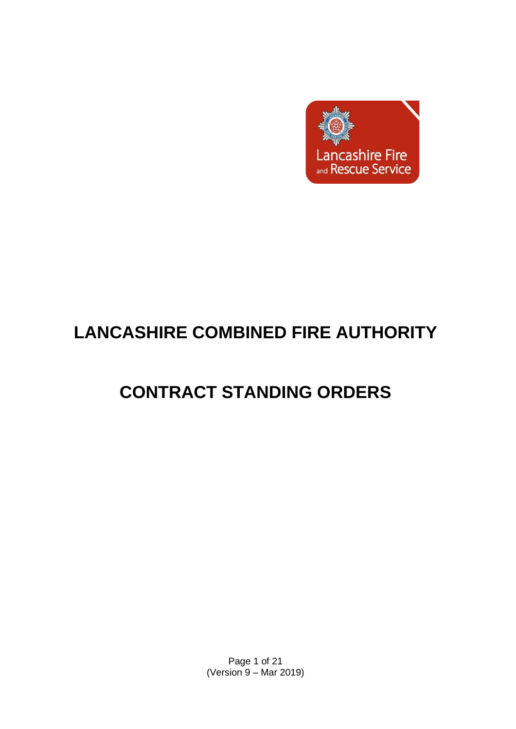

# **LANCASHIRE COMBINED FIRE AUTHORITY**

# **CONTRACT STANDING ORDERS**

Page 1 of 21 (Version 9 – Mar 2019)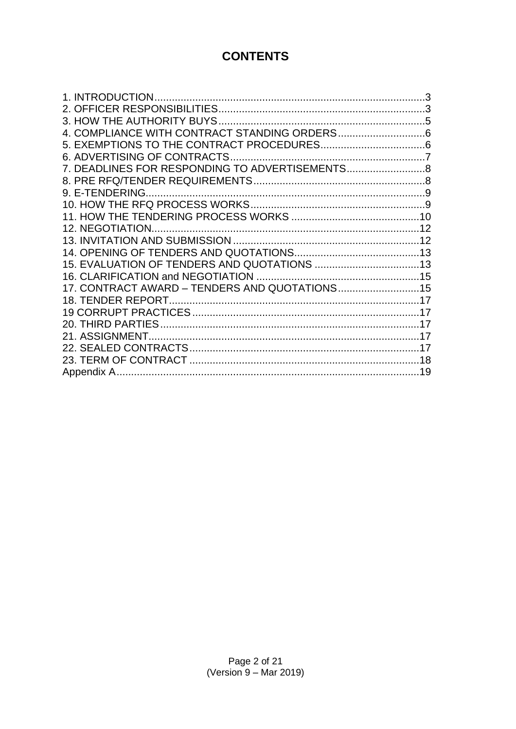# **CONTENTS**

| 7. DEADLINES FOR RESPONDING TO ADVERTISEMENTS  |    |
|------------------------------------------------|----|
|                                                |    |
|                                                |    |
|                                                |    |
|                                                |    |
|                                                |    |
|                                                |    |
|                                                |    |
|                                                |    |
|                                                |    |
| 17. CONTRACT AWARD - TENDERS AND QUOTATIONS 15 |    |
|                                                |    |
|                                                |    |
|                                                | 17 |
|                                                | 17 |
|                                                |    |
|                                                |    |
|                                                |    |
|                                                |    |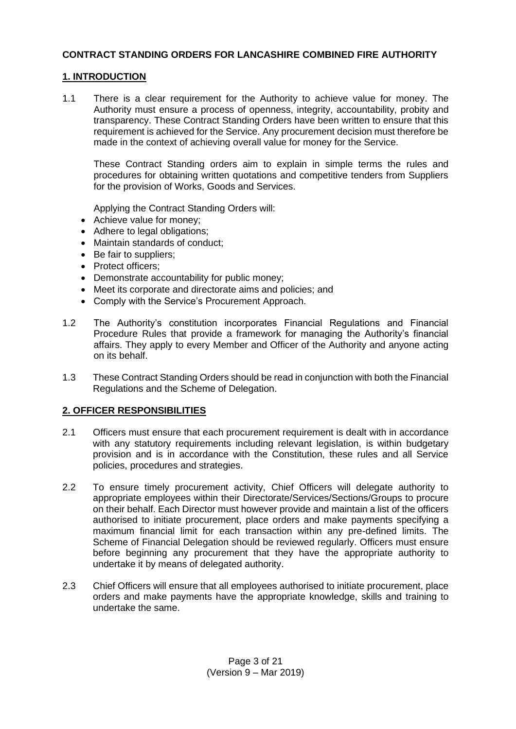# **CONTRACT STANDING ORDERS FOR LANCASHIRE COMBINED FIRE AUTHORITY**

# <span id="page-2-0"></span>**1. INTRODUCTION**

1.1 There is a clear requirement for the Authority to achieve value for money. The Authority must ensure a process of openness, integrity, accountability, probity and transparency. These Contract Standing Orders have been written to ensure that this requirement is achieved for the Service. Any procurement decision must therefore be made in the context of achieving overall value for money for the Service.

These Contract Standing orders aim to explain in simple terms the rules and procedures for obtaining written quotations and competitive tenders from Suppliers for the provision of Works, Goods and Services.

Applying the Contract Standing Orders will:

- Achieve value for money;
- Adhere to legal obligations;
- Maintain standards of conduct;
- Be fair to suppliers;
- Protect officers:
- Demonstrate accountability for public money;
- Meet its corporate and directorate aims and policies; and
- Comply with the Service's Procurement Approach.
- 1.2 The Authority's constitution incorporates Financial Regulations and Financial Procedure Rules that provide a framework for managing the Authority's financial affairs. They apply to every Member and Officer of the Authority and anyone acting on its behalf.
- 1.3 These Contract Standing Orders should be read in conjunction with both the Financial Regulations and the Scheme of Delegation.

#### <span id="page-2-1"></span>**2. OFFICER RESPONSIBILITIES**

- 2.1 Officers must ensure that each procurement requirement is dealt with in accordance with any statutory requirements including relevant legislation, is within budgetary provision and is in accordance with the Constitution, these rules and all Service policies, procedures and strategies.
- 2.2 To ensure timely procurement activity, Chief Officers will delegate authority to appropriate employees within their Directorate/Services/Sections/Groups to procure on their behalf. Each Director must however provide and maintain a list of the officers authorised to initiate procurement, place orders and make payments specifying a maximum financial limit for each transaction within any pre-defined limits. The Scheme of Financial Delegation should be reviewed regularly. Officers must ensure before beginning any procurement that they have the appropriate authority to undertake it by means of delegated authority.
- 2.3 Chief Officers will ensure that all employees authorised to initiate procurement, place orders and make payments have the appropriate knowledge, skills and training to undertake the same.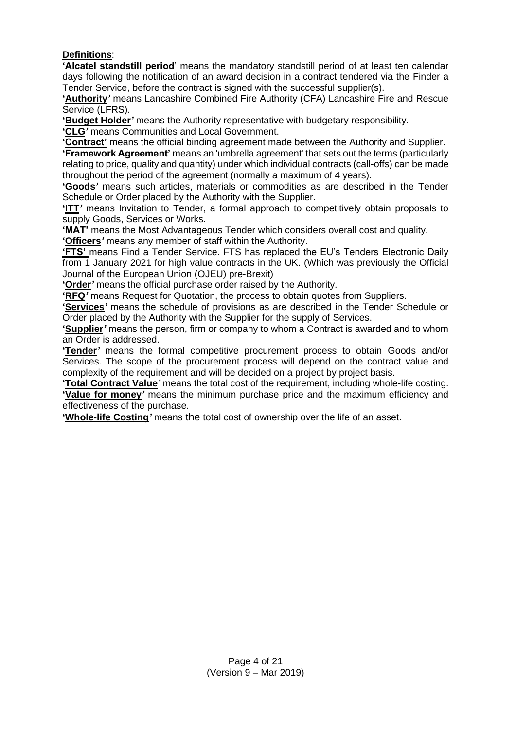# **Definitions**:

**'Alcatel standstill period**' means the mandatory standstill period of at least ten calendar days following the notification of an award decision in a contract tendered via the Finder a Tender Service, before the contract is signed with the successful supplier(s).

**'Authority***'* means Lancashire Combined Fire Authority (CFA) Lancashire Fire and Rescue Service (LFRS).

**'Budget Holder***'* means the Authority representative with budgetary responsibility.

**'CLG***'* means Communities and Local Government.

**'Contract'** means the official binding agreement made between the Authority and Supplier.

**'Framework Agreement'** means an 'umbrella agreement' that sets out the terms (particularly relating to price, quality and quantity) under which individual contracts (call-offs) can be made throughout the period of the agreement (normally a maximum of 4 years).

**'Goods***'* means such articles, materials or commodities as are described in the Tender Schedule or Order placed by the Authority with the Supplier.

**'ITT***'* means Invitation to Tender, a formal approach to competitively obtain proposals to supply Goods, Services or Works.

**'MAT'** means the Most Advantageous Tender which considers overall cost and quality.

**'Officers***'* means any member of staff within the Authority.

**'FTS'** means Find a Tender Service. FTS has replaced the EU's Tenders Electronic Daily from 1 January 2021 for high value contracts in the UK. (Which was previously the Official Journal of the European Union (OJEU) pre-Brexit)

**'Order***'* means the official purchase order raised by the Authority.

**'RFQ***'* means Request for Quotation, the process to obtain quotes from Suppliers.

**'Services***'* means the schedule of provisions as are described in the Tender Schedule or Order placed by the Authority with the Supplier for the supply of Services.

**'Supplier***'* means the person, firm or company to whom a Contract is awarded and to whom an Order is addressed.

**'Tender***'* means the formal competitive procurement process to obtain Goods and/or Services. The scope of the procurement process will depend on the contract value and complexity of the requirement and will be decided on a project by project basis.

**'Total Contract Value***'* means the total cost of the requirement, including whole-life costing. **'Value for money***'* means the minimum purchase price and the maximum efficiency and effectiveness of the purchase.

**'Whole-life Costing***'* means the total cost of ownership over the life of an asset.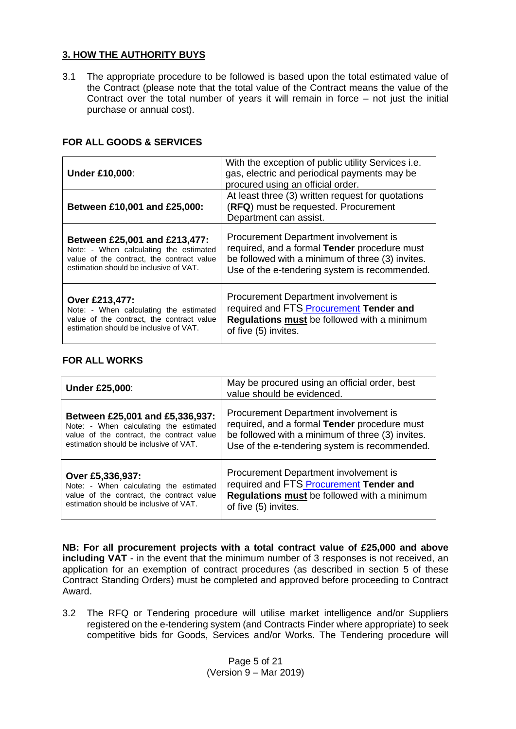# <span id="page-4-0"></span>**3. HOW THE AUTHORITY BUYS**

3.1 The appropriate procedure to be followed is based upon the total estimated value of the Contract (please note that the total value of the Contract means the value of the Contract over the total number of years it will remain in force – not just the initial purchase or annual cost).

| <b>Under £10,000:</b>                                                                                                                                          | With the exception of public utility Services <i>i.e.</i><br>gas, electric and periodical payments may be<br>procured using an official order.                                             |
|----------------------------------------------------------------------------------------------------------------------------------------------------------------|--------------------------------------------------------------------------------------------------------------------------------------------------------------------------------------------|
| Between £10,001 and £25,000:                                                                                                                                   | At least three (3) written request for quotations<br>(RFQ) must be requested. Procurement<br>Department can assist.                                                                        |
| Between £25,001 and £213,477:<br>Note: - When calculating the estimated<br>value of the contract, the contract value<br>estimation should be inclusive of VAT. | Procurement Department involvement is<br>required, and a formal Tender procedure must<br>be followed with a minimum of three (3) invites.<br>Use of the e-tendering system is recommended. |
| Over £213,477:<br>Note: - When calculating the estimated<br>value of the contract, the contract value<br>estimation should be inclusive of VAT.                | Procurement Department involvement is<br>required and FTS Procurement Tender and<br>Regulations must be followed with a minimum<br>of five (5) invites.                                    |
|                                                                                                                                                                |                                                                                                                                                                                            |

# **FOR ALL GOODS & SERVICES**

#### **FOR ALL WORKS**

| <b>Under £25,000:</b>                     | May be procured using an official order, best<br>value should be evidenced. |
|-------------------------------------------|-----------------------------------------------------------------------------|
| Between £25,001 and £5,336,937:           | Procurement Department involvement is                                       |
| Note: - When calculating the estimated    | required, and a formal Tender procedure must                                |
| value of the contract, the contract value | be followed with a minimum of three (3) invites.                            |
| estimation should be inclusive of VAT.    | Use of the e-tendering system is recommended.                               |
| Over £5,336,937:                          | Procurement Department involvement is                                       |
| Note: - When calculating the estimated    | required and FTS Procurement Tender and                                     |
| value of the contract, the contract value | Regulations must be followed with a minimum                                 |
| estimation should be inclusive of VAT.    | of five (5) invites.                                                        |

**NB: For all procurement projects with a total contract value of £25,000 and above including VAT** - in the event that the minimum number of 3 responses is not received, an application for an exemption of contract procedures (as described in section 5 of these Contract Standing Orders) must be completed and approved before proceeding to Contract Award.

3.2 The RFQ or Tendering procedure will utilise market intelligence and/or Suppliers registered on the e-tendering system (and Contracts Finder where appropriate) to seek competitive bids for Goods, Services and/or Works. The Tendering procedure will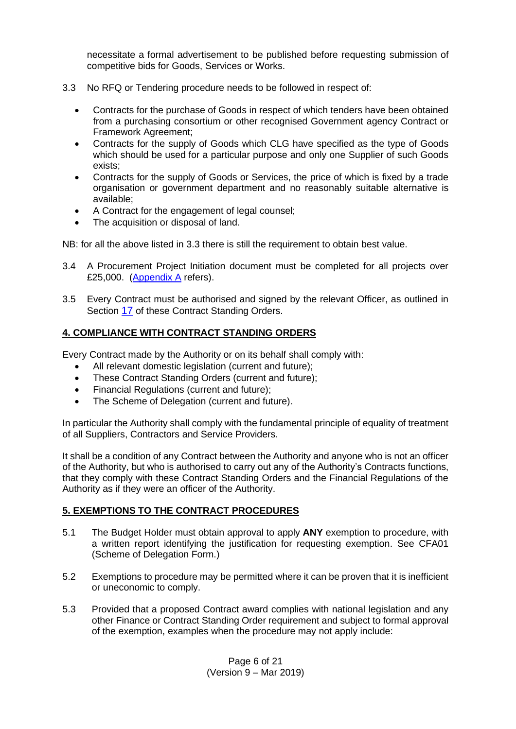necessitate a formal advertisement to be published before requesting submission of competitive bids for Goods, Services or Works.

- 3.3 No RFQ or Tendering procedure needs to be followed in respect of:
	- Contracts for the purchase of Goods in respect of which tenders have been obtained from a purchasing consortium or other recognised Government agency Contract or Framework Agreement;
	- Contracts for the supply of Goods which CLG have specified as the type of Goods which should be used for a particular purpose and only one Supplier of such Goods exists;
	- Contracts for the supply of Goods or Services, the price of which is fixed by a trade organisation or government department and no reasonably suitable alternative is available;
	- A Contract for the engagement of legal counsel;
	- The acquisition or disposal of land.

NB: for all the above listed in 3.3 there is still the requirement to obtain best value.

- 3.4 A Procurement Project Initiation document must be completed for all projects over £25,000. [\(Appendix A](#page-18-1) refers).
- 3.5 Every Contract must be authorised and signed by the relevant Officer, as outlined in Section [17](#page-14-1) of these Contract Standing Orders.

# <span id="page-5-0"></span>**4. COMPLIANCE WITH CONTRACT STANDING ORDERS**

Every Contract made by the Authority or on its behalf shall comply with:

- All relevant domestic legislation (current and future);
- These Contract Standing Orders (current and future);
- Financial Regulations (current and future);
- The Scheme of Delegation (current and future).

In particular the Authority shall comply with the fundamental principle of equality of treatment of all Suppliers, Contractors and Service Providers.

It shall be a condition of any Contract between the Authority and anyone who is not an officer of the Authority, but who is authorised to carry out any of the Authority's Contracts functions, that they comply with these Contract Standing Orders and the Financial Regulations of the Authority as if they were an officer of the Authority.

#### <span id="page-5-1"></span>**5. EXEMPTIONS TO THE CONTRACT PROCEDURES**

- 5.1 The Budget Holder must obtain approval to apply **ANY** exemption to procedure, with a written report identifying the justification for requesting exemption. See CFA01 (Scheme of Delegation Form.)
- 5.2 Exemptions to procedure may be permitted where it can be proven that it is inefficient or uneconomic to comply.
- 5.3 Provided that a proposed Contract award complies with national legislation and any other Finance or Contract Standing Order requirement and subject to formal approval of the exemption, examples when the procedure may not apply include: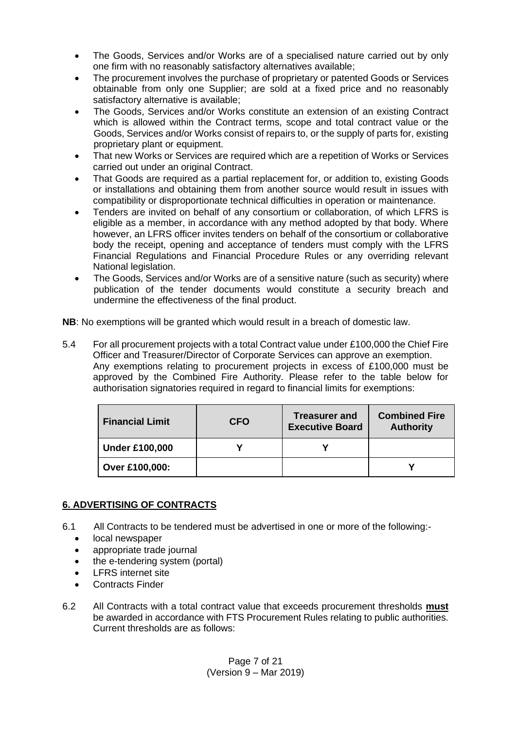- The Goods, Services and/or Works are of a specialised nature carried out by only one firm with no reasonably satisfactory alternatives available;
- The procurement involves the purchase of proprietary or patented Goods or Services obtainable from only one Supplier; are sold at a fixed price and no reasonably satisfactory alternative is available;
- The Goods, Services and/or Works constitute an extension of an existing Contract which is allowed within the Contract terms, scope and total contract value or the Goods, Services and/or Works consist of repairs to, or the supply of parts for, existing proprietary plant or equipment.
- That new Works or Services are required which are a repetition of Works or Services carried out under an original Contract.
- That Goods are required as a partial replacement for, or addition to, existing Goods or installations and obtaining them from another source would result in issues with compatibility or disproportionate technical difficulties in operation or maintenance.
- Tenders are invited on behalf of any consortium or collaboration, of which LFRS is eligible as a member, in accordance with any method adopted by that body. Where however, an LFRS officer invites tenders on behalf of the consortium or collaborative body the receipt, opening and acceptance of tenders must comply with the LFRS Financial Regulations and Financial Procedure Rules or any overriding relevant National legislation.
- The Goods, Services and/or Works are of a sensitive nature (such as security) where publication of the tender documents would constitute a security breach and undermine the effectiveness of the final product.

**NB**: No exemptions will be granted which would result in a breach of domestic law.

5.4 For all procurement projects with a total Contract value under £100,000 the Chief Fire Officer and Treasurer/Director of Corporate Services can approve an exemption. Any exemptions relating to procurement projects in excess of £100,000 must be approved by the Combined Fire Authority. Please refer to the table below for authorisation signatories required in regard to financial limits for exemptions:

| <b>Financial Limit</b> | <b>CFO</b> | <b>Treasurer and</b><br><b>Executive Board</b> | <b>Combined Fire</b><br><b>Authority</b> |
|------------------------|------------|------------------------------------------------|------------------------------------------|
| <b>Under £100,000</b>  |            |                                                |                                          |
| Over £100,000:         |            |                                                |                                          |

# <span id="page-6-0"></span>**6. ADVERTISING OF CONTRACTS**

- 6.1 All Contracts to be tendered must be advertised in one or more of the following:
	- local newspaper
	- appropriate trade journal
	- the e-tendering system (portal)
	- LFRS internet site
	- Contracts Finder
- 6.2 All Contracts with a total contract value that exceeds procurement thresholds **must** be awarded in accordance with FTS Procurement Rules relating to public authorities. Current thresholds are as follows: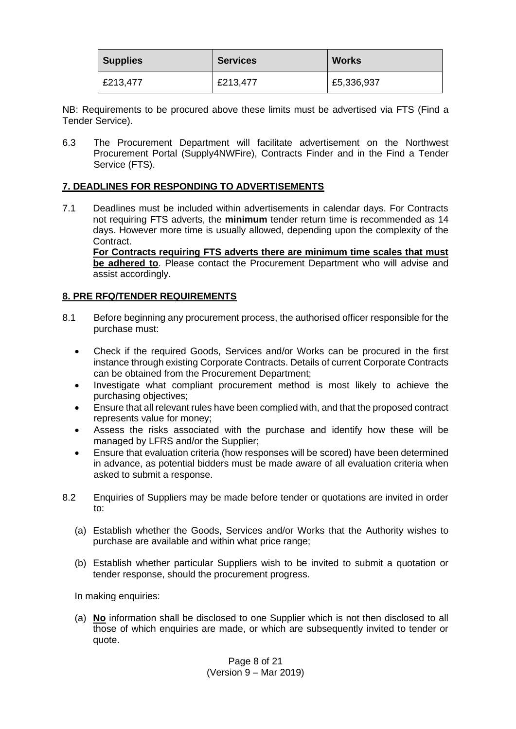| <b>Supplies</b> | <b>Services</b> | <b>Works</b> |
|-----------------|-----------------|--------------|
| £213,477        | £213,477        | £5,336,937   |

NB: Requirements to be procured above these limits must be advertised via FTS (Find a Tender Service).

6.3 The Procurement Department will facilitate advertisement on the Northwest Procurement Portal (Supply4NWFire), Contracts Finder and in the Find a Tender Service (FTS).

# <span id="page-7-0"></span>**7. DEADLINES FOR RESPONDING TO ADVERTISEMENTS**

7.1 Deadlines must be included within advertisements in calendar days. For Contracts not requiring FTS adverts, the **minimum** tender return time is recommended as 14 days. However more time is usually allowed, depending upon the complexity of the Contract.

**For Contracts requiring FTS adverts there are minimum time scales that must be adhered to**. Please contact the Procurement Department who will advise and assist accordingly.

# <span id="page-7-1"></span>**8. PRE RFQ/TENDER REQUIREMENTS**

- 8.1 Before beginning any procurement process, the authorised officer responsible for the purchase must:
	- Check if the required Goods, Services and/or Works can be procured in the first instance through existing Corporate Contracts. Details of current Corporate Contracts can be obtained from the Procurement Department;
	- Investigate what compliant procurement method is most likely to achieve the purchasing objectives;
	- Ensure that all relevant rules have been complied with, and that the proposed contract represents value for money;
	- Assess the risks associated with the purchase and identify how these will be managed by LFRS and/or the Supplier;
	- Ensure that evaluation criteria (how responses will be scored) have been determined in advance, as potential bidders must be made aware of all evaluation criteria when asked to submit a response.
- 8.2 Enquiries of Suppliers may be made before tender or quotations are invited in order to:
	- (a) Establish whether the Goods, Services and/or Works that the Authority wishes to purchase are available and within what price range;
	- (b) Establish whether particular Suppliers wish to be invited to submit a quotation or tender response, should the procurement progress.

In making enquiries:

(a) **No** information shall be disclosed to one Supplier which is not then disclosed to all those of which enquiries are made, or which are subsequently invited to tender or quote.

> Page 8 of 21 (Version 9 – Mar 2019)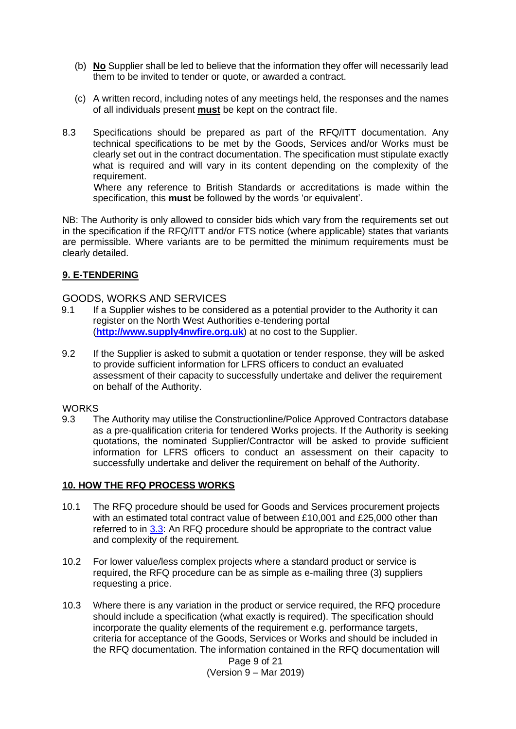- (b) **No** Supplier shall be led to believe that the information they offer will necessarily lead them to be invited to tender or quote, or awarded a contract.
- (c) A written record, including notes of any meetings held, the responses and the names of all individuals present **must** be kept on the contract file.
- 8.3 Specifications should be prepared as part of the RFQ/ITT documentation. Any technical specifications to be met by the Goods, Services and/or Works must be clearly set out in the contract documentation. The specification must stipulate exactly what is required and will vary in its content depending on the complexity of the requirement.

Where any reference to British Standards or accreditations is made within the specification, this **must** be followed by the words 'or equivalent'.

NB: The Authority is only allowed to consider bids which vary from the requirements set out in the specification if the RFQ/ITT and/or FTS notice (where applicable) states that variants are permissible. Where variants are to be permitted the minimum requirements must be clearly detailed.

# <span id="page-8-0"></span>**9. E-TENDERING**

#### GOODS, WORKS AND SERVICES

- 9.1 If a Supplier wishes to be considered as a potential provider to the Authority it can register on the North West Authorities e-tendering portal (**[http://www.supply4nwfire.org.uk](http://www.supply4nwfire.org.uk/)**) at no cost to the Supplier.
- 9.2 If the Supplier is asked to submit a quotation or tender response, they will be asked to provide sufficient information for LFRS officers to conduct an evaluated assessment of their capacity to successfully undertake and deliver the requirement on behalf of the Authority.

#### **WORKS**

9.3 The Authority may utilise the Constructionline/Police Approved Contractors database as a pre-qualification criteria for tendered Works projects. If the Authority is seeking quotations, the nominated Supplier/Contractor will be asked to provide sufficient information for LFRS officers to conduct an assessment on their capacity to successfully undertake and deliver the requirement on behalf of the Authority.

#### <span id="page-8-1"></span>**10. HOW THE RFQ PROCESS WORKS**

- 10.1 The RFQ procedure should be used for Goods and Services procurement projects with an estimated total contract value of between £10,001 and £25,000 other than referred to in [3.3:](#page-4-0) An RFQ procedure should be appropriate to the contract value and complexity of the requirement.
- 10.2 For lower value/less complex projects where a standard product or service is required, the RFQ procedure can be as simple as e-mailing three (3) suppliers requesting a price.
- 10.3 Where there is any variation in the product or service required, the RFQ procedure should include a specification (what exactly is required). The specification should incorporate the quality elements of the requirement e.g. performance targets, criteria for acceptance of the Goods, Services or Works and should be included in the RFQ documentation. The information contained in the RFQ documentation will

Page 9 of 21 (Version 9 – Mar 2019)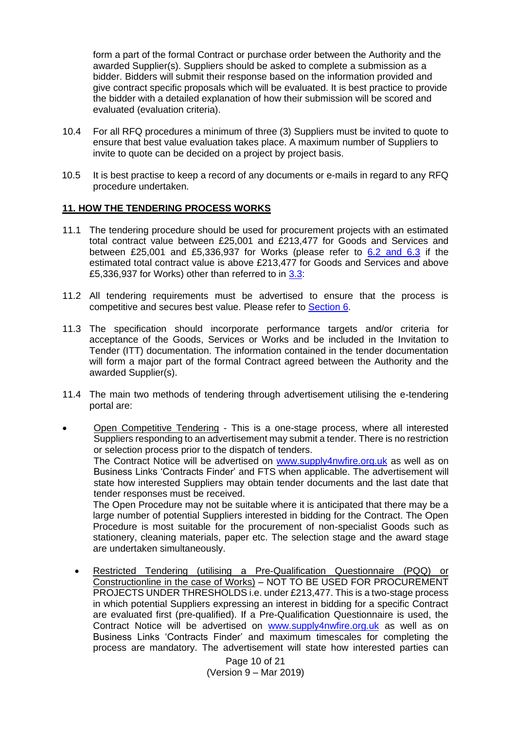form a part of the formal Contract or purchase order between the Authority and the awarded Supplier(s). Suppliers should be asked to complete a submission as a bidder. Bidders will submit their response based on the information provided and give contract specific proposals which will be evaluated. It is best practice to provide the bidder with a detailed explanation of how their submission will be scored and evaluated (evaluation criteria).

- 10.4 For all RFQ procedures a minimum of three (3) Suppliers must be invited to quote to ensure that best value evaluation takes place. A maximum number of Suppliers to invite to quote can be decided on a project by project basis.
- 10.5 It is best practise to keep a record of any documents or e-mails in regard to any RFQ procedure undertaken.

# <span id="page-9-0"></span>**11. HOW THE TENDERING PROCESS WORKS**

- 11.1 The tendering procedure should be used for procurement projects with an estimated total contract value between £25,001 and £213,477 for Goods and Services and between £25,001 and £5,336,937 for Works (please refer to  $6.2$  and  $6.3$  if the estimated total contract value is above £213,477 for Goods and Services and above £5,336,937 for Works) other than referred to in [3.3:](#page-4-0)
- 11.2 All tendering requirements must be advertised to ensure that the process is competitive and secures best value. Please refer to [Section 6](#page-6-0).
- 11.3 The specification should incorporate performance targets and/or criteria for acceptance of the Goods, Services or Works and be included in the Invitation to Tender (ITT) documentation. The information contained in the tender documentation will form a major part of the formal Contract agreed between the Authority and the awarded Supplier(s).
- 11.4 The main two methods of tendering through advertisement utilising the e-tendering portal are:
- Open Competitive Tendering This is a one-stage process, where all interested Suppliers responding to an advertisement may submit a tender. There is no restriction or selection process prior to the dispatch of tenders.

The Contract Notice will be advertised on [www.supply4nwfire.org.uk](http://www.supply4nwfire.org.uk/) as well as on Business Links 'Contracts Finder' and FTS when applicable. The advertisement will state how interested Suppliers may obtain tender documents and the last date that tender responses must be received.

The Open Procedure may not be suitable where it is anticipated that there may be a large number of potential Suppliers interested in bidding for the Contract. The Open Procedure is most suitable for the procurement of non-specialist Goods such as stationery, cleaning materials, paper etc. The selection stage and the award stage are undertaken simultaneously.

• Restricted Tendering (utilising a Pre-Qualification Questionnaire (PQQ) or Constructionline in the case of Works) – NOT TO BE USED FOR PROCUREMENT PROJECTS UNDER THRESHOLDS i.e. under £213,477. This is a two-stage process in which potential Suppliers expressing an interest in bidding for a specific Contract are evaluated first (pre-qualified). If a Pre-Qualification Questionnaire is used, the Contract Notice will be advertised on [www.supply4nwfire.org.uk](http://www.supply4nwfire.org.uk/) as well as on Business Links 'Contracts Finder' and maximum timescales for completing the process are mandatory. The advertisement will state how interested parties can

> Page 10 of 21 (Version 9 – Mar 2019)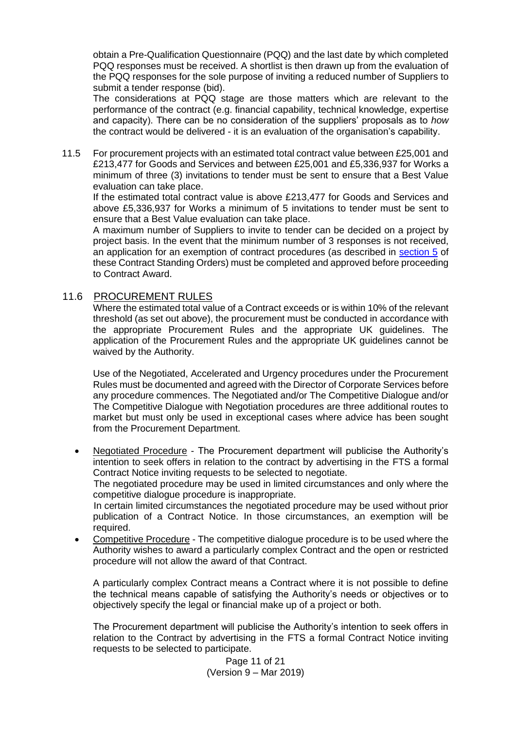obtain a Pre-Qualification Questionnaire (PQQ) and the last date by which completed PQQ responses must be received. A shortlist is then drawn up from the evaluation of the PQQ responses for the sole purpose of inviting a reduced number of Suppliers to submit a tender response (bid).

The considerations at PQQ stage are those matters which are relevant to the performance of the contract (e.g. financial capability, technical knowledge, expertise and capacity). There can be no consideration of the suppliers' proposals as to *how*  the contract would be delivered - it is an evaluation of the organisation's capability.

11.5 For procurement projects with an estimated total contract value between £25,001 and £213,477 for Goods and Services and between £25,001 and £5,336,937 for Works a minimum of three (3) invitations to tender must be sent to ensure that a Best Value evaluation can take place.

If the estimated total contract value is above £213,477 for Goods and Services and above £5,336,937 for Works a minimum of 5 invitations to tender must be sent to ensure that a Best Value evaluation can take place.

A maximum number of Suppliers to invite to tender can be decided on a project by project basis. In the event that the minimum number of 3 responses is not received, an application for an exemption of contract procedures (as described in [section 5](#page-5-1) of these Contract Standing Orders) must be completed and approved before proceeding to Contract Award.

# <span id="page-10-0"></span>11.6 PROCUREMENT RULES

Where the estimated total value of a Contract exceeds or is within 10% of the relevant threshold (as set out above), the procurement must be conducted in accordance with the appropriate Procurement Rules and the appropriate UK guidelines. The application of the Procurement Rules and the appropriate UK guidelines cannot be waived by the Authority.

Use of the Negotiated, Accelerated and Urgency procedures under the Procurement Rules must be documented and agreed with the Director of Corporate Services before any procedure commences. The Negotiated and/or The Competitive Dialogue and/or The Competitive Dialogue with Negotiation procedures are three additional routes to market but must only be used in exceptional cases where advice has been sought from the Procurement Department.

• Negotiated Procedure - The Procurement department will publicise the Authority's intention to seek offers in relation to the contract by advertising in the FTS a formal Contract Notice inviting requests to be selected to negotiate.

The negotiated procedure may be used in limited circumstances and only where the competitive dialogue procedure is inappropriate.

In certain limited circumstances the negotiated procedure may be used without prior publication of a Contract Notice. In those circumstances, an exemption will be required.

• Competitive Procedure - The competitive dialogue procedure is to be used where the Authority wishes to award a particularly complex Contract and the open or restricted procedure will not allow the award of that Contract.

A particularly complex Contract means a Contract where it is not possible to define the technical means capable of satisfying the Authority's needs or objectives or to objectively specify the legal or financial make up of a project or both.

The Procurement department will publicise the Authority's intention to seek offers in relation to the Contract by advertising in the FTS a formal Contract Notice inviting requests to be selected to participate.

> Page 11 of 21 (Version 9 – Mar 2019)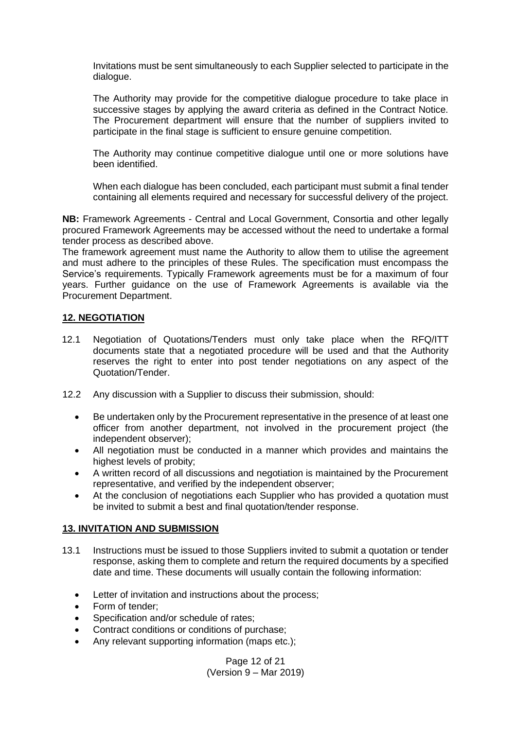Invitations must be sent simultaneously to each Supplier selected to participate in the dialogue.

The Authority may provide for the competitive dialogue procedure to take place in successive stages by applying the award criteria as defined in the Contract Notice. The Procurement department will ensure that the number of suppliers invited to participate in the final stage is sufficient to ensure genuine competition.

The Authority may continue competitive dialogue until one or more solutions have been identified.

When each dialogue has been concluded, each participant must submit a final tender containing all elements required and necessary for successful delivery of the project.

**NB:** Framework Agreements - Central and Local Government, Consortia and other legally procured Framework Agreements may be accessed without the need to undertake a formal tender process as described above.

The framework agreement must name the Authority to allow them to utilise the agreement and must adhere to the principles of these Rules. The specification must encompass the Service's requirements. Typically Framework agreements must be for a maximum of four years. Further guidance on the use of Framework Agreements is available via the Procurement Department.

#### <span id="page-11-0"></span>**12. NEGOTIATION**

- 12.1 Negotiation of Quotations/Tenders must only take place when the RFQ/ITT documents state that a negotiated procedure will be used and that the Authority reserves the right to enter into post tender negotiations on any aspect of the Quotation/Tender.
- 12.2 Any discussion with a Supplier to discuss their submission, should:
	- Be undertaken only by the Procurement representative in the presence of at least one officer from another department, not involved in the procurement project (the independent observer);
	- All negotiation must be conducted in a manner which provides and maintains the highest levels of probity;
	- A written record of all discussions and negotiation is maintained by the Procurement representative, and verified by the independent observer;
	- At the conclusion of negotiations each Supplier who has provided a quotation must be invited to submit a best and final quotation/tender response.

#### <span id="page-11-1"></span>**13. INVITATION AND SUBMISSION**

- 13.1 Instructions must be issued to those Suppliers invited to submit a quotation or tender response, asking them to complete and return the required documents by a specified date and time. These documents will usually contain the following information:
	- Letter of invitation and instructions about the process;
	- Form of tender:
	- Specification and/or schedule of rates;
	- Contract conditions or conditions of purchase;
	- Any relevant supporting information (maps etc.);

Page 12 of 21 (Version 9 – Mar 2019)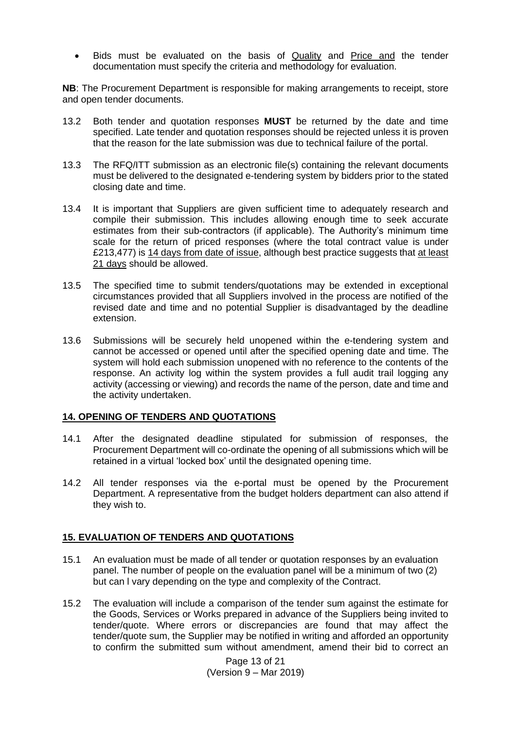• Bids must be evaluated on the basis of Quality and Price and the tender documentation must specify the criteria and methodology for evaluation.

**NB**: The Procurement Department is responsible for making arrangements to receipt, store and open tender documents.

- 13.2 Both tender and quotation responses **MUST** be returned by the date and time specified. Late tender and quotation responses should be rejected unless it is proven that the reason for the late submission was due to technical failure of the portal.
- 13.3 The RFQ/ITT submission as an electronic file(s) containing the relevant documents must be delivered to the designated e-tendering system by bidders prior to the stated closing date and time.
- 13.4 It is important that Suppliers are given sufficient time to adequately research and compile their submission. This includes allowing enough time to seek accurate estimates from their sub-contractors (if applicable). The Authority's minimum time scale for the return of priced responses (where the total contract value is under £213,477) is 14 days from date of issue, although best practice suggests that at least 21 days should be allowed.
- 13.5 The specified time to submit tenders/quotations may be extended in exceptional circumstances provided that all Suppliers involved in the process are notified of the revised date and time and no potential Supplier is disadvantaged by the deadline extension.
- 13.6 Submissions will be securely held unopened within the e-tendering system and cannot be accessed or opened until after the specified opening date and time. The system will hold each submission unopened with no reference to the contents of the response. An activity log within the system provides a full audit trail logging any activity (accessing or viewing) and records the name of the person, date and time and the activity undertaken.

#### <span id="page-12-0"></span>**14. OPENING OF TENDERS AND QUOTATIONS**

- 14.1 After the designated deadline stipulated for submission of responses, the Procurement Department will co-ordinate the opening of all submissions which will be retained in a virtual 'locked box' until the designated opening time.
- 14.2 All tender responses via the e-portal must be opened by the Procurement Department. A representative from the budget holders department can also attend if they wish to.

#### <span id="page-12-1"></span>**15. EVALUATION OF TENDERS AND QUOTATIONS**

- 15.1 An evaluation must be made of all tender or quotation responses by an evaluation panel. The number of people on the evaluation panel will be a minimum of two (2) but can l vary depending on the type and complexity of the Contract.
- 15.2 The evaluation will include a comparison of the tender sum against the estimate for the Goods, Services or Works prepared in advance of the Suppliers being invited to tender/quote. Where errors or discrepancies are found that may affect the tender/quote sum, the Supplier may be notified in writing and afforded an opportunity to confirm the submitted sum without amendment, amend their bid to correct an

Page 13 of 21 (Version 9 – Mar 2019)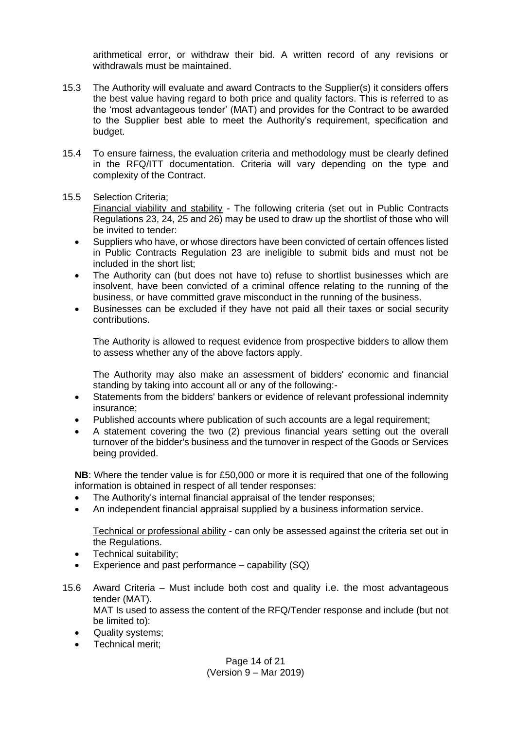arithmetical error, or withdraw their bid. A written record of any revisions or withdrawals must be maintained.

- 15.3 The Authority will evaluate and award Contracts to the Supplier(s) it considers offers the best value having regard to both price and quality factors. This is referred to as the 'most advantageous tender' (MAT) and provides for the Contract to be awarded to the Supplier best able to meet the Authority's requirement, specification and budget.
- 15.4 To ensure fairness, the evaluation criteria and methodology must be clearly defined in the RFQ/ITT documentation. Criteria will vary depending on the type and complexity of the Contract.
- 15.5 Selection Criteria;

Financial viability and stability - The following criteria (set out in Public Contracts Regulations 23, 24, 25 and 26) may be used to draw up the shortlist of those who will be invited to tender:

- Suppliers who have, or whose directors have been convicted of certain offences listed in Public Contracts Regulation 23 are ineligible to submit bids and must not be included in the short list;
- The Authority can (but does not have to) refuse to shortlist businesses which are insolvent, have been convicted of a criminal offence relating to the running of the business, or have committed grave misconduct in the running of the business.
- Businesses can be excluded if they have not paid all their taxes or social security contributions.

The Authority is allowed to request evidence from prospective bidders to allow them to assess whether any of the above factors apply.

The Authority may also make an assessment of bidders' economic and financial standing by taking into account all or any of the following:-

- Statements from the bidders' bankers or evidence of relevant professional indemnity insurance;
- Published accounts where publication of such accounts are a legal requirement;
- A statement covering the two (2) previous financial years setting out the overall turnover of the bidder's business and the turnover in respect of the Goods or Services being provided.

**NB**: Where the tender value is for £50,000 or more it is required that one of the following information is obtained in respect of all tender responses:

- The Authority's internal financial appraisal of the tender responses;
- An independent financial appraisal supplied by a business information service.

Technical or professional ability - can only be assessed against the criteria set out in the Regulations.

- Technical suitability;
- Experience and past performance  $-$  capability (SQ)
- 15.6 Award Criteria Must include both cost and quality i.e. the most advantageous tender (MAT). MAT Is used to assess the content of the RFQ/Tender response and include (but not be limited to):
	- Quality systems;
	- Technical merit;

Page 14 of 21 (Version 9 – Mar 2019)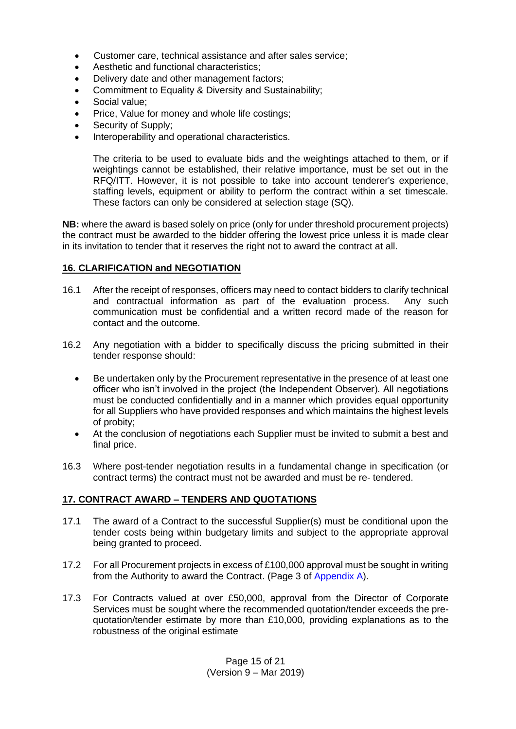- Customer care, technical assistance and after sales service;
- Aesthetic and functional characteristics;
- Delivery date and other management factors;
- Commitment to Equality & Diversity and Sustainability;
- Social value;
- Price, Value for money and whole life costings;
- Security of Supply;
- Interoperability and operational characteristics.

The criteria to be used to evaluate bids and the weightings attached to them, or if weightings cannot be established, their relative importance, must be set out in the RFQ/ITT. However, it is not possible to take into account tenderer's experience, staffing levels, equipment or ability to perform the contract within a set timescale. These factors can only be considered at selection stage (SQ).

**NB:** where the award is based solely on price (only for under threshold procurement projects) the contract must be awarded to the bidder offering the lowest price unless it is made clear in its invitation to tender that it reserves the right not to award the contract at all.

# <span id="page-14-0"></span>**16. CLARIFICATION and NEGOTIATION**

- 16.1 After the receipt of responses, officers may need to contact bidders to clarify technical and contractual information as part of the evaluation process. Any such communication must be confidential and a written record made of the reason for contact and the outcome.
- 16.2 Any negotiation with a bidder to specifically discuss the pricing submitted in their tender response should:
	- Be undertaken only by the Procurement representative in the presence of at least one officer who isn't involved in the project (the Independent Observer). All negotiations must be conducted confidentially and in a manner which provides equal opportunity for all Suppliers who have provided responses and which maintains the highest levels of probity;
	- At the conclusion of negotiations each Supplier must be invited to submit a best and final price.
- 16.3 Where post-tender negotiation results in a fundamental change in specification (or contract terms) the contract must not be awarded and must be re- tendered.

# <span id="page-14-1"></span>**17. CONTRACT AWARD – TENDERS AND QUOTATIONS**

- 17.1 The award of a Contract to the successful Supplier(s) must be conditional upon the tender costs being within budgetary limits and subject to the appropriate approval being granted to proceed.
- 17.2 For all Procurement projects in excess of £100,000 approval must be sought in writing from the Authority to award the Contract. (Page 3 of [Appendix A\)](#page-18-1).
- 17.3 For Contracts valued at over £50,000, approval from the Director of Corporate Services must be sought where the recommended quotation/tender exceeds the prequotation/tender estimate by more than £10,000, providing explanations as to the robustness of the original estimate

Page 15 of 21 (Version 9 – Mar 2019)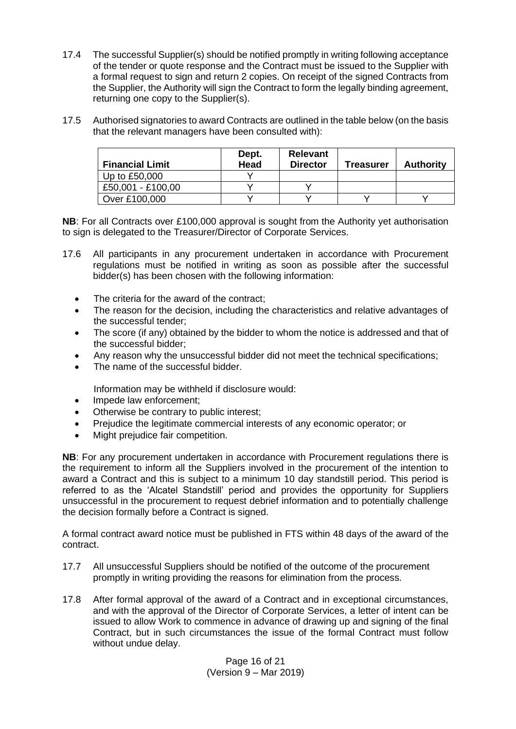- 17.4 The successful Supplier(s) should be notified promptly in writing following acceptance of the tender or quote response and the Contract must be issued to the Supplier with a formal request to sign and return 2 copies. On receipt of the signed Contracts from the Supplier, the Authority will sign the Contract to form the legally binding agreement, returning one copy to the Supplier(s).
- 17.5 Authorised signatories to award Contracts are outlined in the table below (on the basis that the relevant managers have been consulted with):

| <b>Financial Limit</b> | Dept.<br>Head | <b>Relevant</b><br><b>Director</b> | Treasurer | <b>Authority</b> |
|------------------------|---------------|------------------------------------|-----------|------------------|
| Up to £50,000          |               |                                    |           |                  |
| £50,001 - £100,00      |               |                                    |           |                  |
| Over £100,000          |               |                                    |           |                  |

**NB**: For all Contracts over £100,000 approval is sought from the Authority yet authorisation to sign is delegated to the Treasurer/Director of Corporate Services.

- 17.6 All participants in any procurement undertaken in accordance with Procurement regulations must be notified in writing as soon as possible after the successful bidder(s) has been chosen with the following information:
	- The criteria for the award of the contract;
	- The reason for the decision, including the characteristics and relative advantages of the successful tender;
	- The score (if any) obtained by the bidder to whom the notice is addressed and that of the successful bidder;
	- Any reason why the unsuccessful bidder did not meet the technical specifications;
	- The name of the successful bidder.

Information may be withheld if disclosure would:

- Impede law enforcement;
- Otherwise be contrary to public interest;
- Prejudice the legitimate commercial interests of any economic operator; or
- Might prejudice fair competition.

**NB**: For any procurement undertaken in accordance with Procurement regulations there is the requirement to inform all the Suppliers involved in the procurement of the intention to award a Contract and this is subject to a minimum 10 day standstill period. This period is referred to as the 'Alcatel Standstill' period and provides the opportunity for Suppliers unsuccessful in the procurement to request debrief information and to potentially challenge the decision formally before a Contract is signed.

A formal contract award notice must be published in FTS within 48 days of the award of the contract.

- 17.7 All unsuccessful Suppliers should be notified of the outcome of the procurement promptly in writing providing the reasons for elimination from the process.
- 17.8 After formal approval of the award of a Contract and in exceptional circumstances, and with the approval of the Director of Corporate Services, a letter of intent can be issued to allow Work to commence in advance of drawing up and signing of the final Contract, but in such circumstances the issue of the formal Contract must follow without undue delay.

Page 16 of 21 (Version 9 – Mar 2019)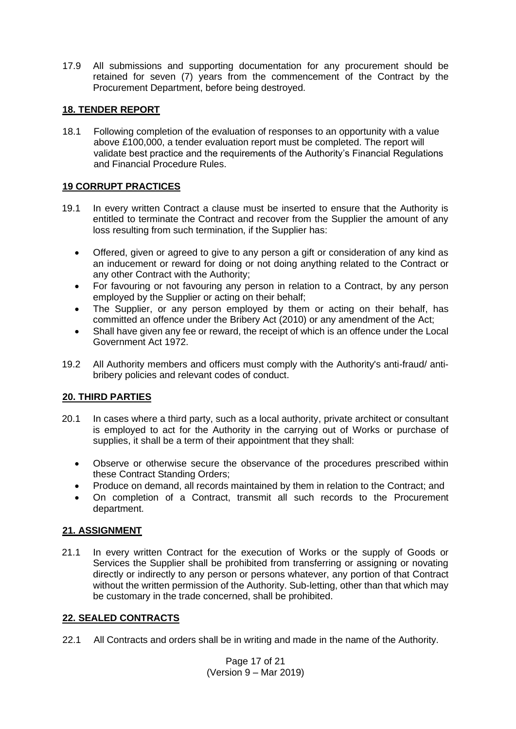17.9 All submissions and supporting documentation for any procurement should be retained for seven (7) years from the commencement of the Contract by the Procurement Department, before being destroyed.

# <span id="page-16-0"></span>**18. TENDER REPORT**

18.1 Following completion of the evaluation of responses to an opportunity with a value above £100,000, a tender evaluation report must be completed. The report will validate best practice and the requirements of the Authority's Financial Regulations and Financial Procedure Rules.

# <span id="page-16-1"></span>**19 CORRUPT PRACTICES**

- 19.1 In every written Contract a clause must be inserted to ensure that the Authority is entitled to terminate the Contract and recover from the Supplier the amount of any loss resulting from such termination, if the Supplier has:
	- Offered, given or agreed to give to any person a gift or consideration of any kind as an inducement or reward for doing or not doing anything related to the Contract or any other Contract with the Authority;
	- For favouring or not favouring any person in relation to a Contract, by any person employed by the Supplier or acting on their behalf;
	- The Supplier, or any person employed by them or acting on their behalf, has committed an offence under the Bribery Act (2010) or any amendment of the Act;
	- Shall have given any fee or reward, the receipt of which is an offence under the Local Government Act 1972.
- 19.2 All Authority members and officers must comply with the Authority's anti-fraud/ antibribery policies and relevant codes of conduct.

#### <span id="page-16-2"></span>**20. THIRD PARTIES**

- 20.1 In cases where a third party, such as a local authority, private architect or consultant is employed to act for the Authority in the carrying out of Works or purchase of supplies, it shall be a term of their appointment that they shall:
	- Observe or otherwise secure the observance of the procedures prescribed within these Contract Standing Orders;
	- Produce on demand, all records maintained by them in relation to the Contract; and
	- On completion of a Contract, transmit all such records to the Procurement department.

#### <span id="page-16-3"></span>**21. ASSIGNMENT**

21.1 In every written Contract for the execution of Works or the supply of Goods or Services the Supplier shall be prohibited from transferring or assigning or novating directly or indirectly to any person or persons whatever, any portion of that Contract without the written permission of the Authority. Sub-letting, other than that which may be customary in the trade concerned, shall be prohibited.

#### <span id="page-16-4"></span>**22. SEALED CONTRACTS**

22.1 All Contracts and orders shall be in writing and made in the name of the Authority.

Page 17 of 21 (Version 9 – Mar 2019)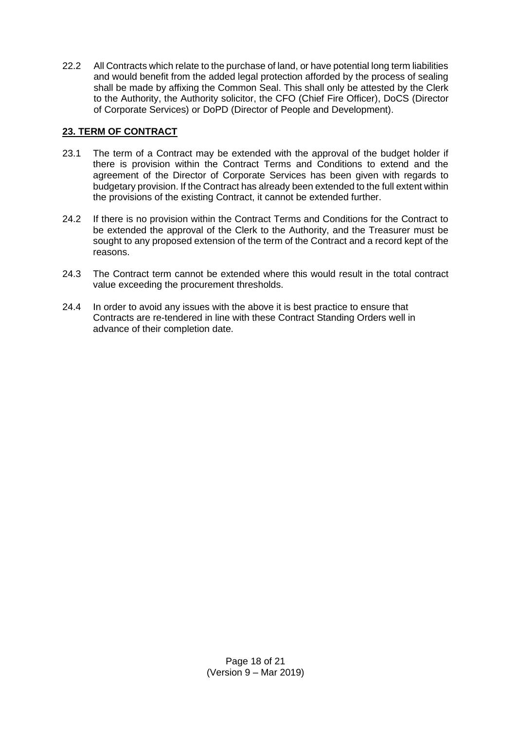22.2 All Contracts which relate to the purchase of land, or have potential long term liabilities and would benefit from the added legal protection afforded by the process of sealing shall be made by affixing the Common Seal. This shall only be attested by the Clerk to the Authority, the Authority solicitor, the CFO (Chief Fire Officer), DoCS (Director of Corporate Services) or DoPD (Director of People and Development).

# <span id="page-17-0"></span>**23. TERM OF CONTRACT**

- 23.1 The term of a Contract may be extended with the approval of the budget holder if there is provision within the Contract Terms and Conditions to extend and the agreement of the Director of Corporate Services has been given with regards to budgetary provision. If the Contract has already been extended to the full extent within the provisions of the existing Contract, it cannot be extended further.
- 24.2 If there is no provision within the Contract Terms and Conditions for the Contract to be extended the approval of the Clerk to the Authority, and the Treasurer must be sought to any proposed extension of the term of the Contract and a record kept of the reasons.
- 24.3 The Contract term cannot be extended where this would result in the total contract value exceeding the procurement thresholds.
- 24.4 In order to avoid any issues with the above it is best practice to ensure that Contracts are re-tendered in line with these Contract Standing Orders well in advance of their completion date.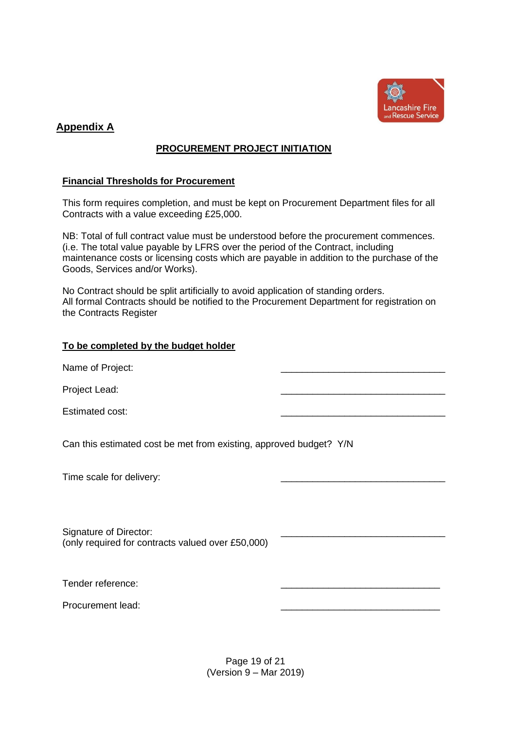

# <span id="page-18-1"></span><span id="page-18-0"></span>**Appendix A**

# **PROCUREMENT PROJECT INITIATION**

#### **Financial Thresholds for Procurement**

This form requires completion, and must be kept on Procurement Department files for all Contracts with a value exceeding £25,000.

NB: Total of full contract value must be understood before the procurement commences. (i.e. The total value payable by LFRS over the period of the Contract, including maintenance costs or licensing costs which are payable in addition to the purchase of the Goods, Services and/or Works).

No Contract should be split artificially to avoid application of standing orders. All formal Contracts should be notified to the Procurement Department for registration on the Contracts Register

# **To be completed by the budget holder**

Name of Project:

Project Lead:

Estimated cost:

Can this estimated cost be met from existing, approved budget? Y/N

Time scale for delivery:

Signature of Director: (only required for contracts valued over £50,000)

Tender reference:

Procurement lead:

Page 19 of 21 (Version 9 – Mar 2019)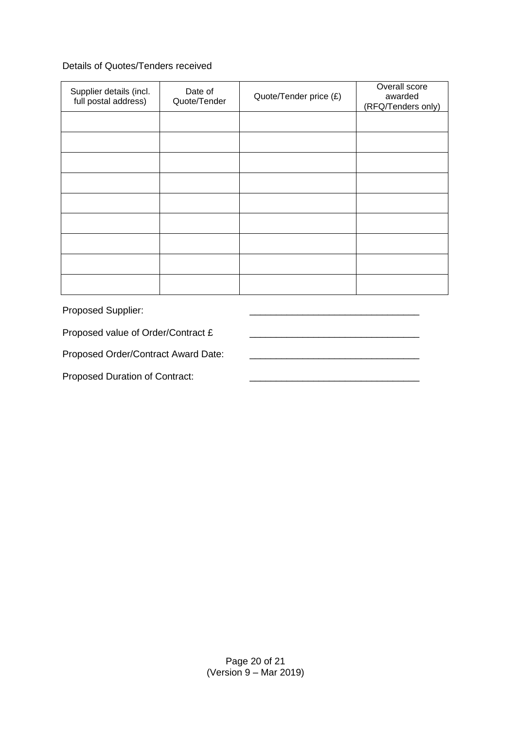# Details of Quotes/Tenders received

| Supplier details (incl.<br>full postal address) | Date of<br>Quote/Tender | Quote/Tender price (£) | Overall score<br>awarded<br>(RFQ/Tenders only) |
|-------------------------------------------------|-------------------------|------------------------|------------------------------------------------|
|                                                 |                         |                        |                                                |
|                                                 |                         |                        |                                                |
|                                                 |                         |                        |                                                |
|                                                 |                         |                        |                                                |
|                                                 |                         |                        |                                                |
|                                                 |                         |                        |                                                |
|                                                 |                         |                        |                                                |
|                                                 |                         |                        |                                                |
|                                                 |                         |                        |                                                |

Proposed Supplier:

Proposed value of Order/Contract £ \_\_\_\_\_\_\_\_\_\_\_\_\_\_\_\_\_\_\_\_\_\_\_\_\_\_\_\_\_\_\_\_

Proposed Order/Contract Award Date: \_\_\_\_\_\_\_\_\_\_\_\_\_\_\_\_\_\_\_\_\_\_\_\_\_\_\_\_\_\_\_\_

Proposed Duration of Contract: